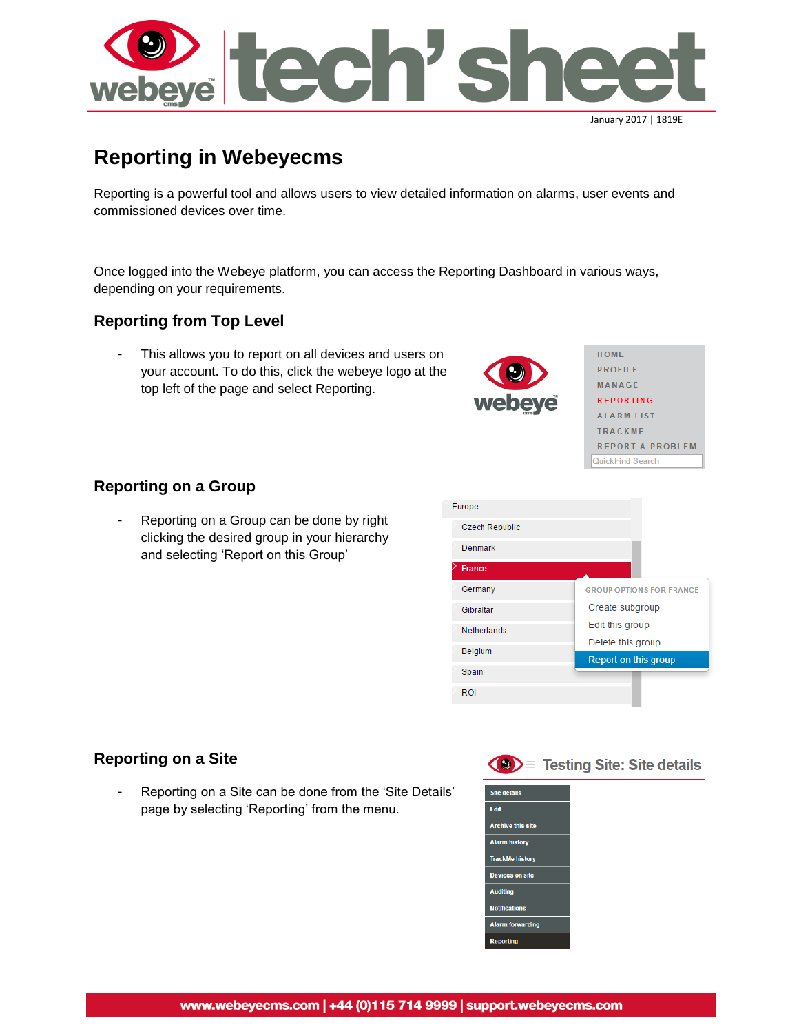

# **Reporting in Webeyecms**

Reporting is a powerful tool and allows users to view detailed information on alarms, user events and commissioned devices over time.

Once logged into the Webeye platform, you can access the Reporting Dashboard in various ways, depending on your requirements.

#### **Reporting from Top Level**

This allows you to report on all devices and users on your account. To do this, click the webeye logo at the top left of the page and select Reporting.



HOME **PROFILE** MANAGE **REPORTING ALARM LIST** TRACKME **REPORT A PROBLEM** QuickFind Search

#### **Reporting on a Group**

Reporting on a Group can be done by right clicking the desired group in your hierarchy and selecting 'Report on this Group'



#### **Reporting on a Site**

Reporting on a Site can be done from the 'Site Details' page by selecting 'Reporting' from the menu.

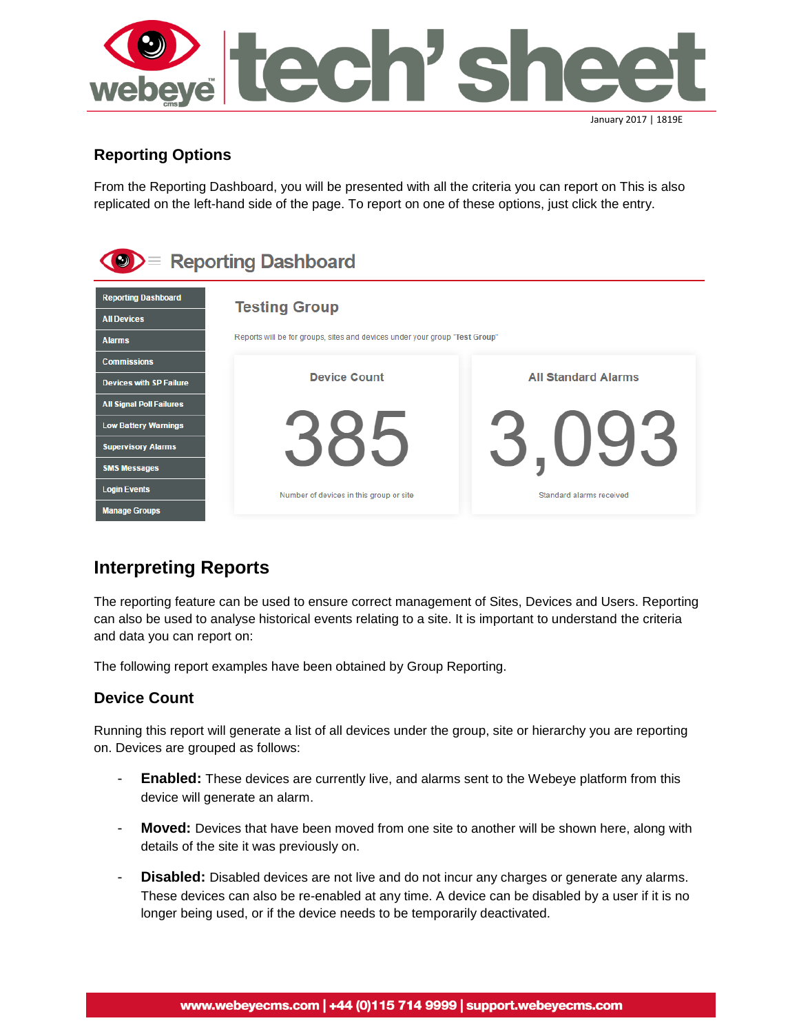

## **Reporting Options**

From the Reporting Dashboard, you will be presented with all the criteria you can report on This is also replicated on the left-hand side of the page. To report on one of these options, just click the entry.

| $\equiv$ Reporting Dashboard                                                            |                                                                                                     |                            |  |  |  |  |
|-----------------------------------------------------------------------------------------|-----------------------------------------------------------------------------------------------------|----------------------------|--|--|--|--|
| <b>Reporting Dashboard</b><br><b>All Devices</b><br><b>Alarms</b>                       | <b>Testing Group</b><br>Reports will be for groups, sites and devices under your group "Test Group" |                            |  |  |  |  |
| <b>Commissions</b><br><b>Devices with SP Failure</b><br><b>All Signal Poll Failures</b> | <b>Device Count</b>                                                                                 | <b>All Standard Alarms</b> |  |  |  |  |
| <b>Low Battery Warnings</b><br><b>Supervisory Alarms</b>                                |                                                                                                     |                            |  |  |  |  |
| <b>SMS Messages</b><br><b>Login Events</b><br><b>Manage Groups</b>                      | Number of devices in this group or site                                                             | Standard alarms received   |  |  |  |  |

## **Interpreting Reports**

The reporting feature can be used to ensure correct management of Sites, Devices and Users. Reporting can also be used to analyse historical events relating to a site. It is important to understand the criteria and data you can report on:

The following report examples have been obtained by Group Reporting.

## **Device Count**

Running this report will generate a list of all devices under the group, site or hierarchy you are reporting on. Devices are grouped as follows:

- **Enabled:** These devices are currently live, and alarms sent to the Webeye platform from this device will generate an alarm.
- **Moved:** Devices that have been moved from one site to another will be shown here, along with details of the site it was previously on.
- **Disabled:** Disabled devices are not live and do not incur any charges or generate any alarms. These devices can also be re-enabled at any time. A device can be disabled by a user if it is no longer being used, or if the device needs to be temporarily deactivated.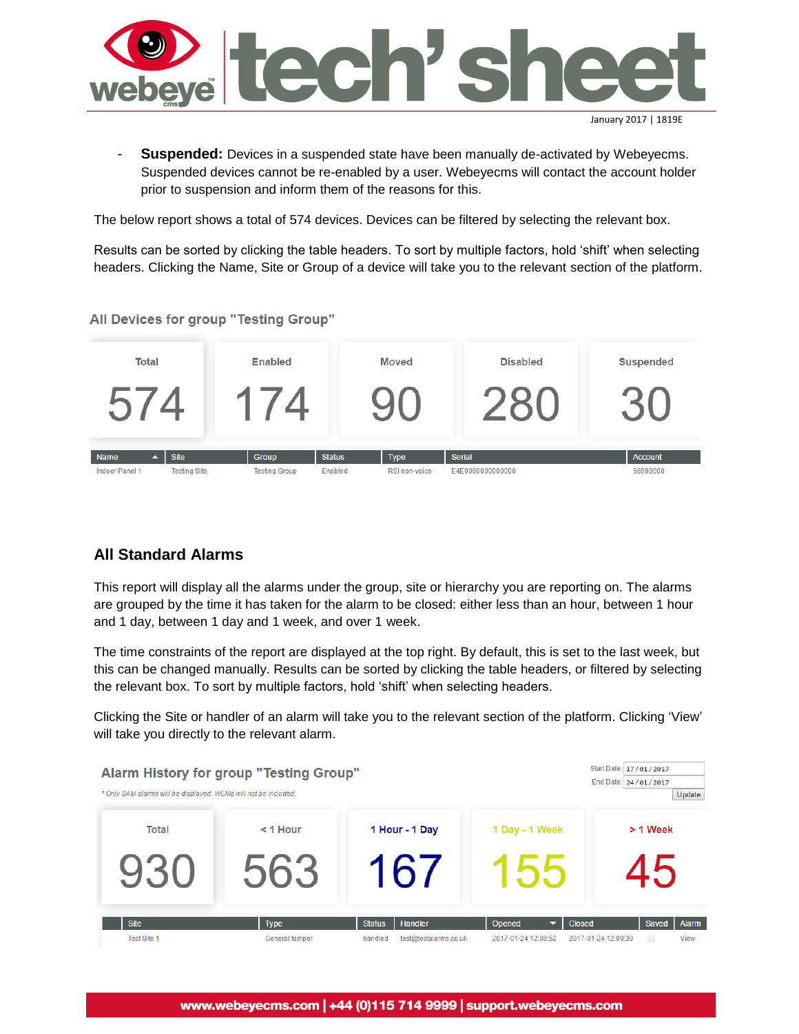

```
January 2017 | 1819E
```
- **Suspended:** Devices in a suspended state have been manually de-activated by Webeyecms. Suspended devices cannot be re-enabled by a user. Webeyecms will contact the account holder prior to suspension and inform them of the reasons for this.

The below report shows a total of 574 devices. Devices can be filtered by selecting the relevant box.

Results can be sorted by clicking the table headers. To sort by multiple factors, hold 'shift' when selecting headers. Clicking the Name, Site or Group of a device will take you to the relevant section of the platform.

All Devices for group "Testing Group"



## **All Standard Alarms**

This report will display all the alarms under the group, site or hierarchy you are reporting on. The alarms are grouped by the time it has taken for the alarm to be closed: either less than an hour, between 1 hour and 1 day, between 1 day and 1 week, and over 1 week.

The time constraints of the report are displayed at the top right. By default, this is set to the last week, but this can be changed manually. Results can be sorted by clicking the table headers, or filtered by selecting the relevant box. To sort by multiple factors, hold 'shift' when selecting headers.

Clicking the Site or handler of an alarm will take you to the relevant section of the platform. Clicking 'View' will take you directly to the relevant alarm.

| Total                             | $<$ 1 Hour                    | 1 Hour - 1 Day                                               | 1 Day - 1 Week                                                        | > 1 Week                                                          |
|-----------------------------------|-------------------------------|--------------------------------------------------------------|-----------------------------------------------------------------------|-------------------------------------------------------------------|
|                                   | 563                           | 16/                                                          |                                                                       |                                                                   |
| <b>Site</b><br><b>Test Site 1</b> | <b>Type</b><br>General tamper | <b>Status</b><br>Handler<br>test@testalarms.co.uk<br>handled | Opened<br><b>Closed</b><br>2017-01-24 12:08:52<br>2017-01-24 12:09:39 | Alarm<br>Saved<br>View<br>$\begin{array}{ccc} \hline \end{array}$ |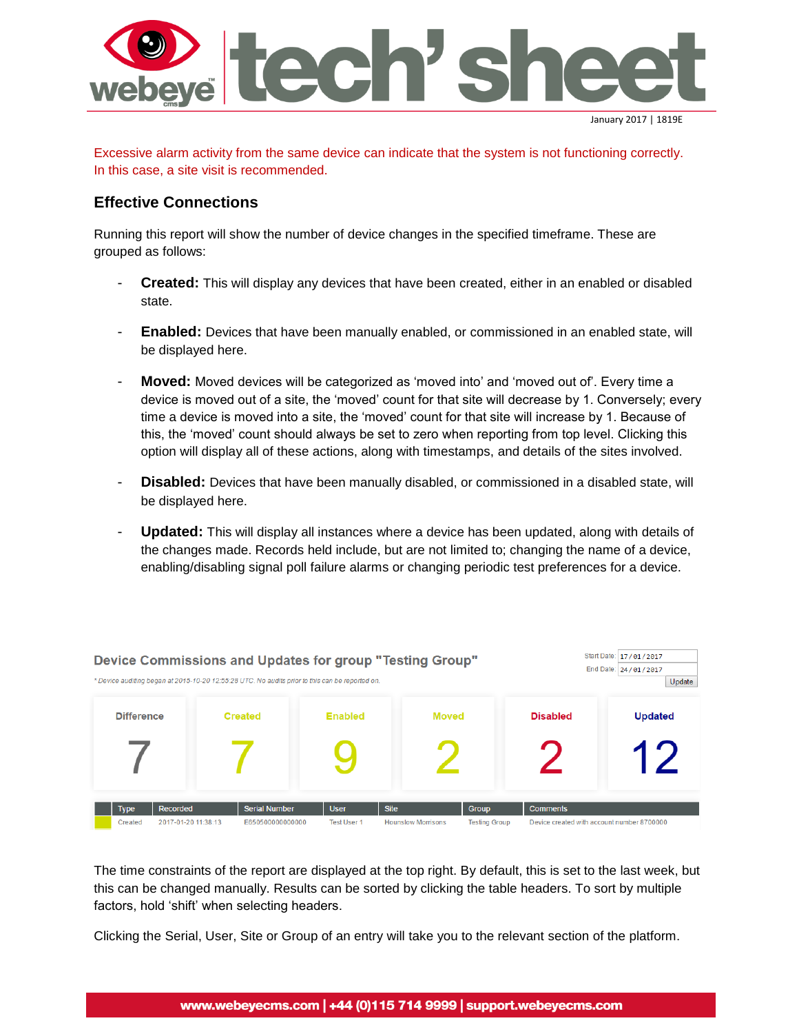

Excessive alarm activity from the same device can indicate that the system is not functioning correctly. In this case, a site visit is recommended.

#### **Effective Connections**

Running this report will show the number of device changes in the specified timeframe. These are grouped as follows:

- **Created:** This will display any devices that have been created, either in an enabled or disabled state.
- **Enabled:** Devices that have been manually enabled, or commissioned in an enabled state, will be displayed here.
- **Moved:** Moved devices will be categorized as 'moved into' and 'moved out of'. Every time a device is moved out of a site, the 'moved' count for that site will decrease by 1. Conversely; every time a device is moved into a site, the 'moved' count for that site will increase by 1. Because of this, the 'moved' count should always be set to zero when reporting from top level. Clicking this option will display all of these actions, along with timestamps, and details of the sites involved.
- **Disabled:** Devices that have been manually disabled, or commissioned in a disabled state, will be displayed here.
- Updated: This will display all instances where a device has been updated, along with details of the changes made. Records held include, but are not limited to; changing the name of a device, enabling/disabling signal poll failure alarms or changing periodic test preferences for a device.

|                   | Device Commissions and Updates for group "Testing Group"<br>* Device auditing began at 2015-10-20 12:55:28 UTC. No audits prior to this can be reported on. |                                          |                                   |                                          |                               |                 | Start Date: 17/01/2017<br>End Date: 24/01/2017<br>Update |
|-------------------|-------------------------------------------------------------------------------------------------------------------------------------------------------------|------------------------------------------|-----------------------------------|------------------------------------------|-------------------------------|-----------------|----------------------------------------------------------|
| <b>Difference</b> |                                                                                                                                                             | <b>Created</b>                           | <b>Enabled</b>                    | <b>Moved</b>                             |                               | <b>Disabled</b> | <b>Updated</b>                                           |
|                   |                                                                                                                                                             |                                          |                                   |                                          |                               |                 | $\blacksquare$                                           |
| Type<br>Created   | Recorded<br>2017-01-20 11:38:13                                                                                                                             | <b>Serial Number</b><br>E650500000000000 | <b>User</b><br><b>Test User 1</b> | <b>Site</b><br><b>Hounslow Morrisons</b> | Group<br><b>Testing Group</b> | <b>Comments</b> | Device created with account number 8700000               |

The time constraints of the report are displayed at the top right. By default, this is set to the last week, but this can be changed manually. Results can be sorted by clicking the table headers. To sort by multiple factors, hold 'shift' when selecting headers.

Clicking the Serial, User, Site or Group of an entry will take you to the relevant section of the platform.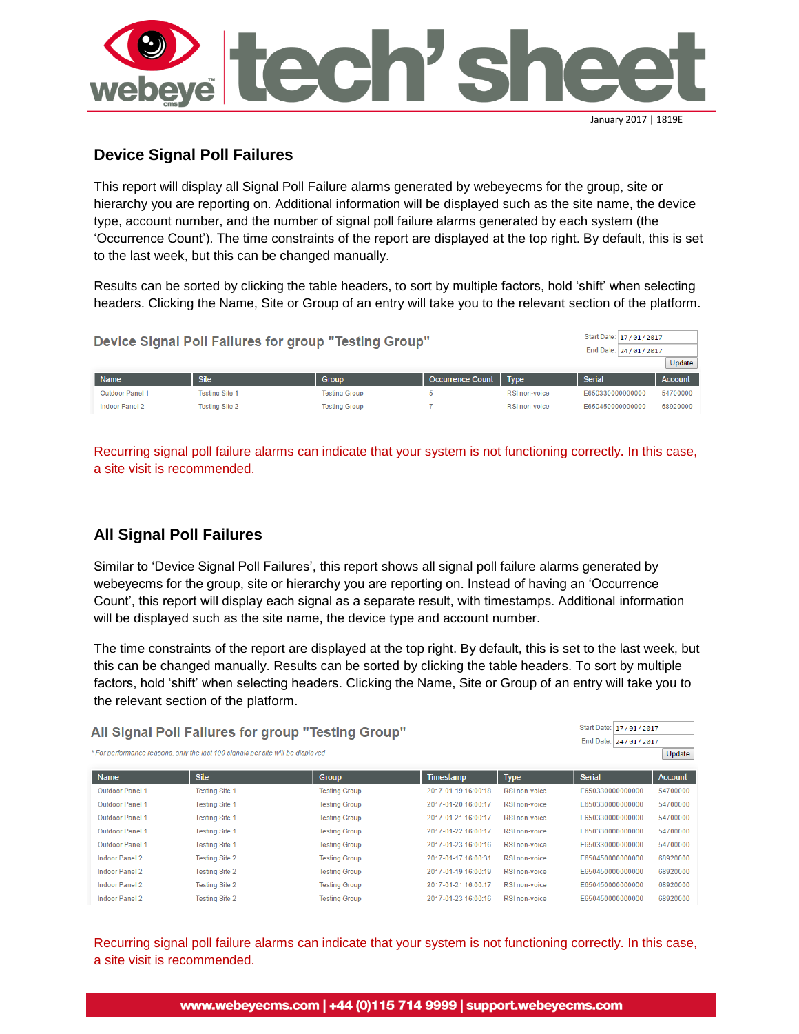

## **Device Signal Poll Failures**

This report will display all Signal Poll Failure alarms generated by webeyecms for the group, site or hierarchy you are reporting on. Additional information will be displayed such as the site name, the device type, account number, and the number of signal poll failure alarms generated by each system (the 'Occurrence Count'). The time constraints of the report are displayed at the top right. By default, this is set to the last week, but this can be changed manually.

Results can be sorted by clicking the table headers, to sort by multiple factors, hold 'shift' when selecting headers. Clicking the Name, Site or Group of an entry will take you to the relevant section of the platform.

| Start Date: 17/01/2017<br>Device Signal Poll Failures for group "Testing Group"<br>End Date: 24/01/2017 |                       |                      |                         |               |                  | Update         |
|---------------------------------------------------------------------------------------------------------|-----------------------|----------------------|-------------------------|---------------|------------------|----------------|
| <b>Name</b>                                                                                             | <b>Site</b>           | <b>Group</b>         | <b>Occurrence Count</b> | <b>Type</b>   | <b>Serial</b>    | <b>Account</b> |
| <b>Outdoor Panel 1</b>                                                                                  | <b>Testing Site 1</b> | <b>Testing Group</b> |                         | RSI non-voice | E650330000000000 | 54700000       |
| Indoor Panel 2                                                                                          | <b>Testing Site 2</b> | <b>Testing Group</b> |                         | RSI non-voice | E650450000000000 | 68920000       |

Recurring signal poll failure alarms can indicate that your system is not functioning correctly. In this case, a site visit is recommended.

## **All Signal Poll Failures**

Similar to 'Device Signal Poll Failures', this report shows all signal poll failure alarms generated by webeyecms for the group, site or hierarchy you are reporting on. Instead of having an 'Occurrence Count', this report will display each signal as a separate result, with timestamps. Additional information will be displayed such as the site name, the device type and account number.

The time constraints of the report are displayed at the top right. By default, this is set to the last week, but this can be changed manually. Results can be sorted by clicking the table headers. To sort by multiple factors, hold 'shift' when selecting headers. Clicking the Name, Site or Group of an entry will take you to the relevant section of the platform.

| All Signal Poll Failures for group "Testing Group"<br>* For performance reasons, only the last 100 signals per site will be displayed | Start Date: 17/01/2017<br>End Date: 24/01/2017 | Update               |                     |                      |                  |                |
|---------------------------------------------------------------------------------------------------------------------------------------|------------------------------------------------|----------------------|---------------------|----------------------|------------------|----------------|
| Name                                                                                                                                  | <b>Site</b>                                    | <b>Group</b>         | Timestamp           | <b>Type</b>          | <b>Serial</b>    | <b>Account</b> |
| <b>Outdoor Panel 1</b>                                                                                                                | <b>Testing Site 1</b>                          | <b>Testing Group</b> | 2017-01-19 16:00:18 | <b>RSI non-voice</b> | E650330000000000 | 54700000       |
| <b>Outdoor Panel 1</b>                                                                                                                | <b>Testing Site 1</b>                          | <b>Testing Group</b> | 2017-01-20 16:00:17 | <b>RSI non-voice</b> | E650330000000000 | 54700000       |
| <b>Outdoor Panel 1</b>                                                                                                                | <b>Testing Site 1</b>                          | <b>Testing Group</b> | 2017-01-21 16:00:17 | <b>RSI non-voice</b> | E650330000000000 | 54700000       |
| <b>Outdoor Panel 1</b>                                                                                                                | <b>Testing Site 1</b>                          | <b>Testing Group</b> | 2017-01-22 16:00:17 | RSI non-voice        | E650330000000000 | 54700000       |
| <b>Outdoor Panel 1</b>                                                                                                                | <b>Testing Site 1</b>                          | <b>Testing Group</b> | 2017-01-23 16:00:16 | RSI non-voice        | F650330000000000 | 54700000       |
| Indoor Panel 2                                                                                                                        | <b>Testing Site 2</b>                          | <b>Testing Group</b> | 2017-01-17 16:00:31 | <b>RSI non-voice</b> | E650450000000000 | 68920000       |
| Indoor Panel 2                                                                                                                        | <b>Testing Site 2</b>                          | <b>Testing Group</b> | 2017-01-19 16:00:19 | <b>RSI non-voice</b> | E650450000000000 | 68920000       |
| <b>Indoor Panel 2</b>                                                                                                                 | <b>Testing Site 2</b>                          | <b>Testing Group</b> | 2017-01-21 16:00:17 | <b>RSI non-voice</b> | E650450000000000 | 68920000       |
| Indoor Panel 2                                                                                                                        | <b>Testing Site 2</b>                          | <b>Testing Group</b> | 2017-01-23 16:00:16 | RSI non-voice        | E650450000000000 | 68920000       |

Recurring signal poll failure alarms can indicate that your system is not functioning correctly. In this case, a site visit is recommended.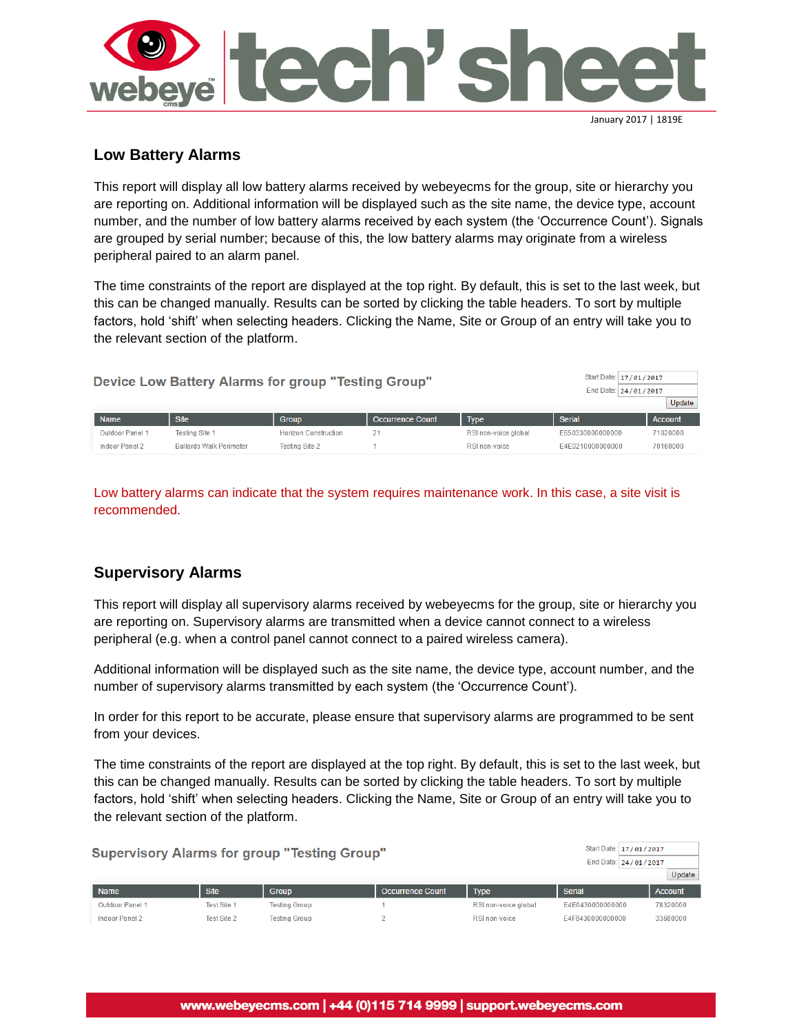

## **Low Battery Alarms**

This report will display all low battery alarms received by webeyecms for the group, site or hierarchy you are reporting on. Additional information will be displayed such as the site name, the device type, account number, and the number of low battery alarms received by each system (the 'Occurrence Count'). Signals are grouped by serial number; because of this, the low battery alarms may originate from a wireless peripheral paired to an alarm panel.

The time constraints of the report are displayed at the top right. By default, this is set to the last week, but this can be changed manually. Results can be sorted by clicking the table headers. To sort by multiple factors, hold 'shift' when selecting headers. Clicking the Name, Site or Group of an entry will take you to the relevant section of the platform.

| Device Low Battery Alarms for group "Testing Group" |                        |                                |                             |                  |                      | Start Date: 17/01/2017<br>End Date: 24/01/2017 | Update         |
|-----------------------------------------------------|------------------------|--------------------------------|-----------------------------|------------------|----------------------|------------------------------------------------|----------------|
|                                                     | <b>Name</b>            | <b>Site</b>                    | <b>Group</b>                | Occurrence Count | Type                 | Serial                                         | <b>Account</b> |
|                                                     | <b>Outdoor Panel 1</b> | <b>Testing Site 1</b>          | <b>Horizon Construction</b> | 21               | RSI non-voice global | E650330000000000                               | 71020000       |
|                                                     | Indoor Panel 2         | <b>Ballards Walk Perimeter</b> | <b>Testing Site 2</b>       |                  | RSI non-voice        | E4E0210000000000                               | 70160000       |

Low battery alarms can indicate that the system requires maintenance work. In this case, a site visit is recommended.

## **Supervisory Alarms**

This report will display all supervisory alarms received by webeyecms for the group, site or hierarchy you are reporting on. Supervisory alarms are transmitted when a device cannot connect to a wireless peripheral (e.g. when a control panel cannot connect to a paired wireless camera).

Additional information will be displayed such as the site name, the device type, account number, and the number of supervisory alarms transmitted by each system (the 'Occurrence Count').

In order for this report to be accurate, please ensure that supervisory alarms are programmed to be sent from your devices.

The time constraints of the report are displayed at the top right. By default, this is set to the last week, but this can be changed manually. Results can be sorted by clicking the table headers. To sort by multiple factors, hold 'shift' when selecting headers. Clicking the Name, Site or Group of an entry will take you to the relevant section of the platform.

| <b>Supervisory Alarms for group "Testing Group"</b> |                    |                      |                         |                      |                  | Start Date: 17/01/2017<br>End Date: 24/01/2017<br>Update |
|-----------------------------------------------------|--------------------|----------------------|-------------------------|----------------------|------------------|----------------------------------------------------------|
| Name                                                | <b>Site</b>        | <b>Group</b>         | <b>Occurrence Count</b> | Type                 | Serial           | <b>Account</b>                                           |
| Outdoor Panel 1                                     | <b>Test Site 1</b> | <b>Testing Group</b> |                         | RSI non-voice global | E4E0430000000000 | 78320000                                                 |
| Indoor Panel 2                                      | <b>Test Site 2</b> | <b>Testing Group</b> |                         | RSI non-voice        | E4F8430000000000 | 33680000                                                 |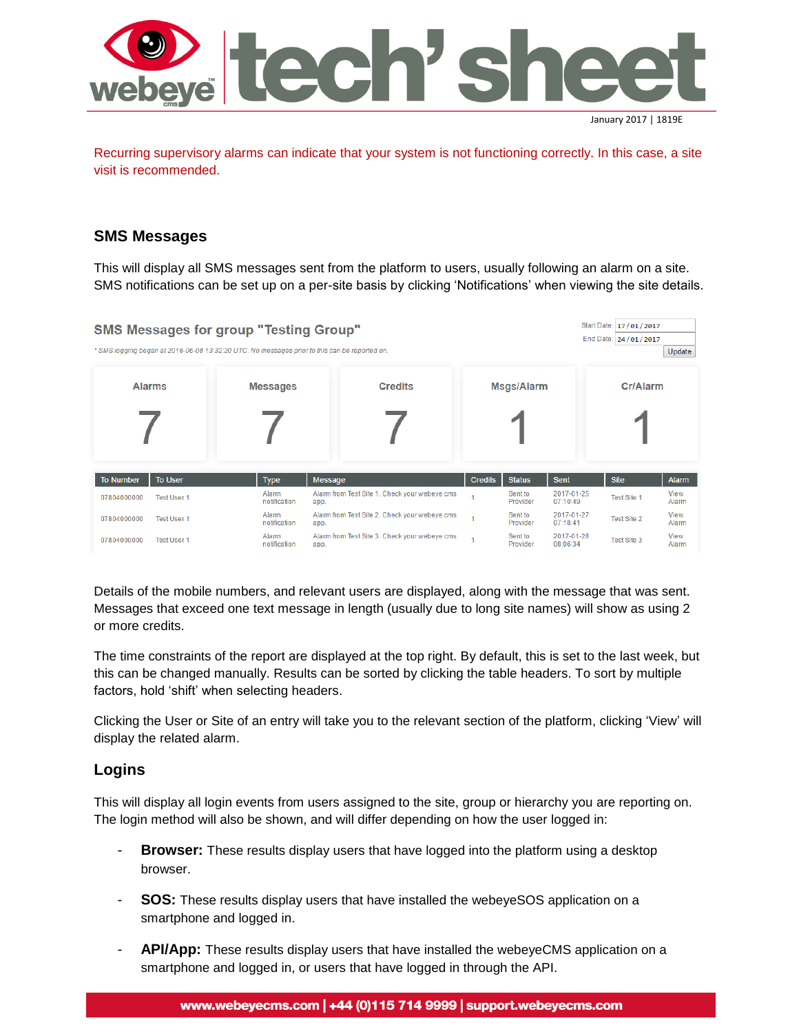

Recurring supervisory alarms can indicate that your system is not functioning correctly. In this case, a site visit is recommended.

#### **SMS Messages**

This will display all SMS messages sent from the platform to users, usually following an alarm on a site. SMS notifications can be set up on a per-site basis by clicking 'Notifications' when viewing the site details.

| <b>SMS Messages for group "Testing Group"</b><br>* SMS logging began at 2016-06-08 13:32:20 UTC. No messages prior to this can be reported on. |                       | Start Date: 17/01/2017<br>End Date: 24/01/2017        | Update         |                     |                        |                    |               |
|------------------------------------------------------------------------------------------------------------------------------------------------|-----------------------|-------------------------------------------------------|----------------|---------------------|------------------------|--------------------|---------------|
| <b>Alarms</b>                                                                                                                                  | <b>Messages</b>       | <b>Credits</b>                                        |                | <b>Msgs/Alarm</b>   |                        | Cr/Alarm           |               |
|                                                                                                                                                |                       |                                                       |                |                     |                        |                    |               |
| <b>To User</b><br><b>To Number</b>                                                                                                             | <b>Type</b>           | Message                                               | <b>Credits</b> | <b>Status</b>       | <b>Sent</b>            | <b>Site</b>        | <b>Alarm</b>  |
| 07804000000<br><b>Test User 1</b>                                                                                                              | Alarm<br>notification | Alarm from Test Site 1. Check your webeye cms<br>app. |                | Sent to<br>Provider | 2017-01-25<br>07:10:49 | <b>Test Site 1</b> | View<br>Alarm |
| 07804000000<br><b>Test User 1</b>                                                                                                              | Alarm<br>notification | Alarm from Test Site 2. Check your webeye cms<br>app. |                | Sent to<br>Provider | 2017-01-27<br>07:18:41 | <b>Test Site 2</b> | View<br>Alarm |
| 07804000000<br><b>Test User 1</b>                                                                                                              | Alarm<br>notification | Alarm from Test Site 3. Check your webeye cms<br>app. |                | Sent to<br>Provider | 2017-01-28<br>08:06:34 | Test Site 3        | View<br>Alarm |

Details of the mobile numbers, and relevant users are displayed, along with the message that was sent. Messages that exceed one text message in length (usually due to long site names) will show as using 2 or more credits.

The time constraints of the report are displayed at the top right. By default, this is set to the last week, but this can be changed manually. Results can be sorted by clicking the table headers. To sort by multiple factors, hold 'shift' when selecting headers.

Clicking the User or Site of an entry will take you to the relevant section of the platform, clicking 'View' will display the related alarm.

#### **Logins**

This will display all login events from users assigned to the site, group or hierarchy you are reporting on. The login method will also be shown, and will differ depending on how the user logged in:

- **Browser:** These results display users that have logged into the platform using a desktop browser.
- **SOS:** These results display users that have installed the webeyeSOS application on a smartphone and logged in.
- API/App: These results display users that have installed the webeyeCMS application on a smartphone and logged in, or users that have logged in through the API.